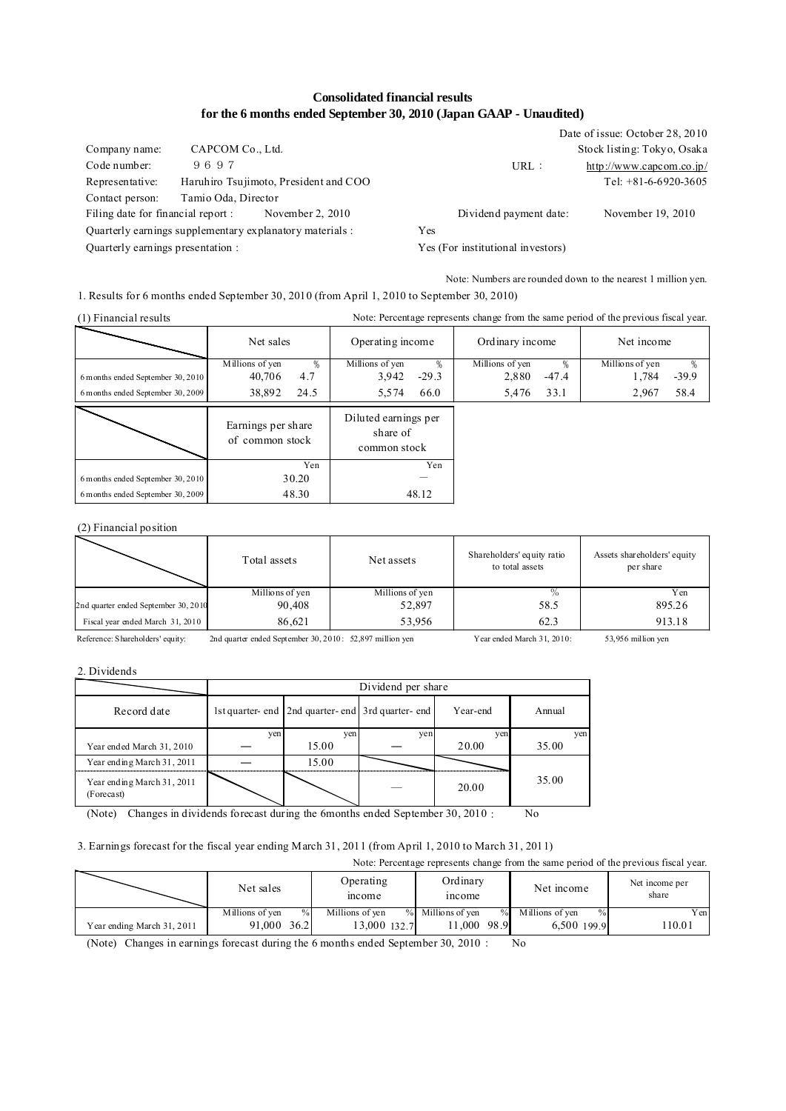## **Consolidated financial results for the 6 months ended September 30, 2010 (Japan GAAP - Unaudited)**

|                                   | Date of issue: October 28, 2010                                                                                       |
|-----------------------------------|-----------------------------------------------------------------------------------------------------------------------|
|                                   | Stock listing: Tokyo, Osaka                                                                                           |
| URL:                              | $http://www.capcom.co.jp/$                                                                                            |
|                                   | Tel: $+81-6-6920-3605$                                                                                                |
|                                   |                                                                                                                       |
| Dividend payment date:            | November 19, 2010                                                                                                     |
| Yes                               |                                                                                                                       |
| Yes (For institutional investors) |                                                                                                                       |
|                                   | Haruhiro Tsujimoto, President and COO<br>November 2, 2010<br>Quarterly earnings supplementary explanatory materials : |

Note: Numbers are rounded down to the nearest 1 million yen.

1. Results for 6 months ended September 30, 2010 (from April 1, 2010 to September 30, 2010)

| Note: Percentage represents change from the same period of the previous fiscal year.<br>$(1)$ Financial results |                 |                                       |                  |                                                  |                 |         |                 |         |  |
|-----------------------------------------------------------------------------------------------------------------|-----------------|---------------------------------------|------------------|--------------------------------------------------|-----------------|---------|-----------------|---------|--|
|                                                                                                                 | Net sales       |                                       | Operating income |                                                  | Ordinary income |         | Net income      |         |  |
|                                                                                                                 | Millions of yen | $\%$                                  | Millions of yen  |                                                  | Millions of yen |         | Millions of yen |         |  |
| 6 months ended September 30, 2010                                                                               | 40,706          | 4.7                                   | 3,942            | $-29.3$                                          | 2,880           | $-47.4$ | 1,784           | $-39.9$ |  |
| 6 m on ths ended September 30, 2009                                                                             | 38,892          | 24.5                                  | 5,574            | 66.0                                             | 5,476           | 33.1    | 2,967           | 58.4    |  |
|                                                                                                                 |                 | Earnings per share<br>of common stock |                  | Diluted earnings per<br>share of<br>common stock |                 |         |                 |         |  |
|                                                                                                                 |                 | Yen                                   |                  | Yen                                              |                 |         |                 |         |  |
| 6 months ended September 30, 2010                                                                               |                 | 30.20                                 |                  |                                                  |                 |         |                 |         |  |
| 6 months ended September 30, 2009                                                                               |                 | 48.30                                 |                  | 48.12                                            |                 |         |                 |         |  |

(2) Financial position

|                                      | Total assets    | Net assets      | Shareholders' equity ratio<br>to total assets | Assets shareholders' equity<br>per share |
|--------------------------------------|-----------------|-----------------|-----------------------------------------------|------------------------------------------|
|                                      | Millions of yen | Millions of yen |                                               | Y en                                     |
| 2nd quarter ended September 30, 2010 | 90,408          | 52,897          | 58.5                                          | 895.26                                   |
| Fiscal year ended March 31, 2010     | 86,621          | 53.956          | 62.3                                          | 913.18                                   |

Reference: Shareholders' equity: 2nd quarter ended September 30, 2010: 52,897 million yen Year ended March 31, 2010: 53,956 million yen

2. Dividends

|                                          |     | Dividend per share                                 |     |          |        |  |  |  |  |
|------------------------------------------|-----|----------------------------------------------------|-----|----------|--------|--|--|--|--|
| Record date                              |     | 1st quarter- end 2nd quarter- end 3rd quarter- end |     | Year-end | Annual |  |  |  |  |
|                                          | ven | ven                                                | ven | ven      | ven    |  |  |  |  |
| Year ended March 31, 2010                |     | 15.00                                              |     | 20.00    | 35.00  |  |  |  |  |
| Year ending March 31, 2011               |     | 15.00                                              |     |          |        |  |  |  |  |
| Year ending March 31, 2011<br>(Forecast) |     |                                                    |     | 20.00    | 35.00  |  |  |  |  |

(Note) Changes in dividends forecast during the 6months ended September 30, 2010: No

# 3. Earnings forecast for the fiscal year ending March 31, 2011 (from April 1, 2010 to March 31, 2011)

Note: Percentage represents change from the same period of the previous fiscal year. Millions of yen % Millions of yen % Millions of yen % Millions of yen % Yen 6,500 110.01 199.9 Net income per share Operating **Deperating 18 Ordinary Net income income Net income** income Net sales 13,000 132.7 11,000 98.9 91,000 36.2 Year ending March 31, 2011

(Note) Changes in earnings forecast during the 6 months ended September 30, 2010: No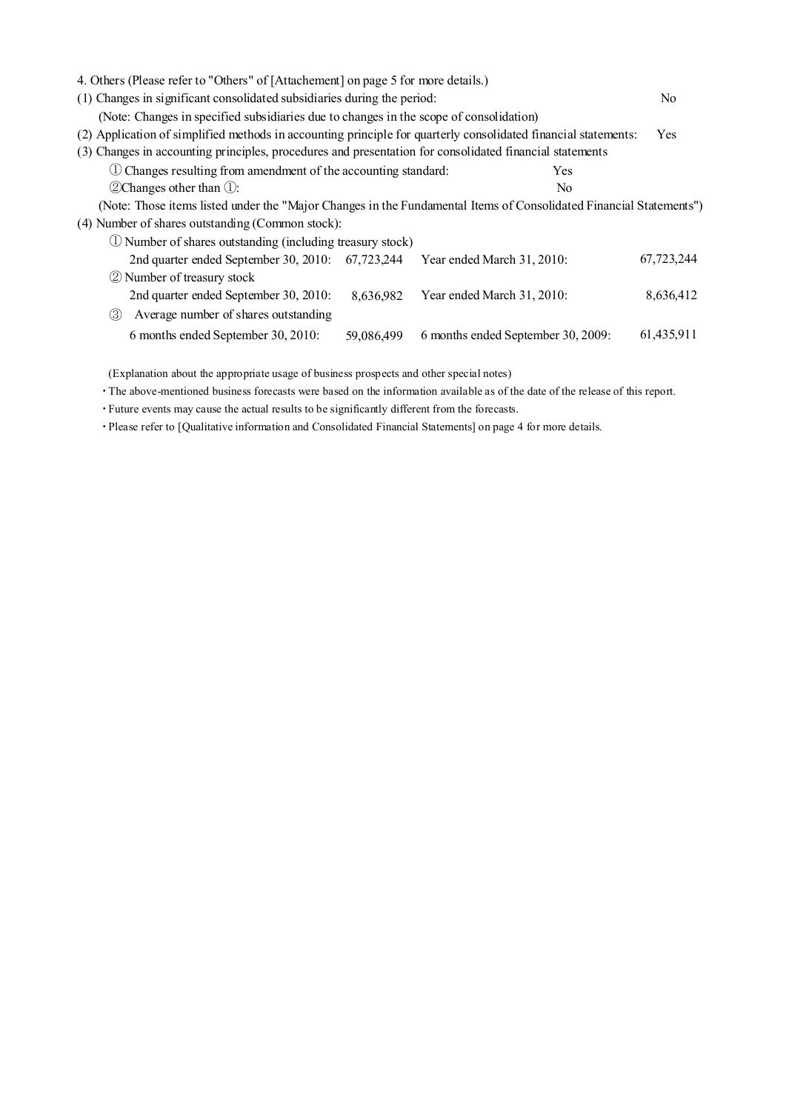| 4. Others (Please refer to "Others" of [Attachement] on page 5 for more details.)                                  |                |
|--------------------------------------------------------------------------------------------------------------------|----------------|
| (1) Changes in significant consolidated subsidiaries during the period:                                            | N <sub>0</sub> |
| (Note: Changes in specified subsidiaries due to changes in the scope of consolidation)                             |                |
| (2) Application of simplified methods in accounting principle for quarterly consolidated financial statements:     | <b>Yes</b>     |
| (3) Changes in accounting principles, procedures and presentation for consolidated financial statements            |                |
| 1. Changes resulting from amendment of the accounting standard:<br>Yes                                             |                |
| $(2)$ Changes other than $(1)$ :<br>N <sub>0</sub>                                                                 |                |
| (Note: Those items listed under the "Major Changes in the Fundamental Items of Consolidated Financial Statements") |                |
| (4) Number of shares outstanding (Common stock):                                                                   |                |
| 1 Number of shares outstanding (including treasury stock)                                                          |                |
| 2nd quarter ended September 30, 2010:<br>67,723,244<br>Year ended March 31, 2010:                                  | 67,723,244     |
| 2 Number of treasury stock                                                                                         |                |
| 2nd quarter ended September 30, 2010:<br>Year ended March 31, 2010:<br>8,636,982                                   | 8,636,412      |
| Average number of shares outstanding<br>(3)                                                                        |                |
| 6 months ended September 30, 2010:<br>6 months ended September 30, 2009:<br>59,086,499                             | 61,435,911     |

(Explanation about the appropriate usage of business prospects and other special notes)

・The above-mentioned business forecasts were based on the information available as of the date of the release of this report.

・Future events may cause the actual results to be significantly different from the forecasts.

・Please refer to [Qualitative information and Consolidated Financial Statements] on page 4 for more details.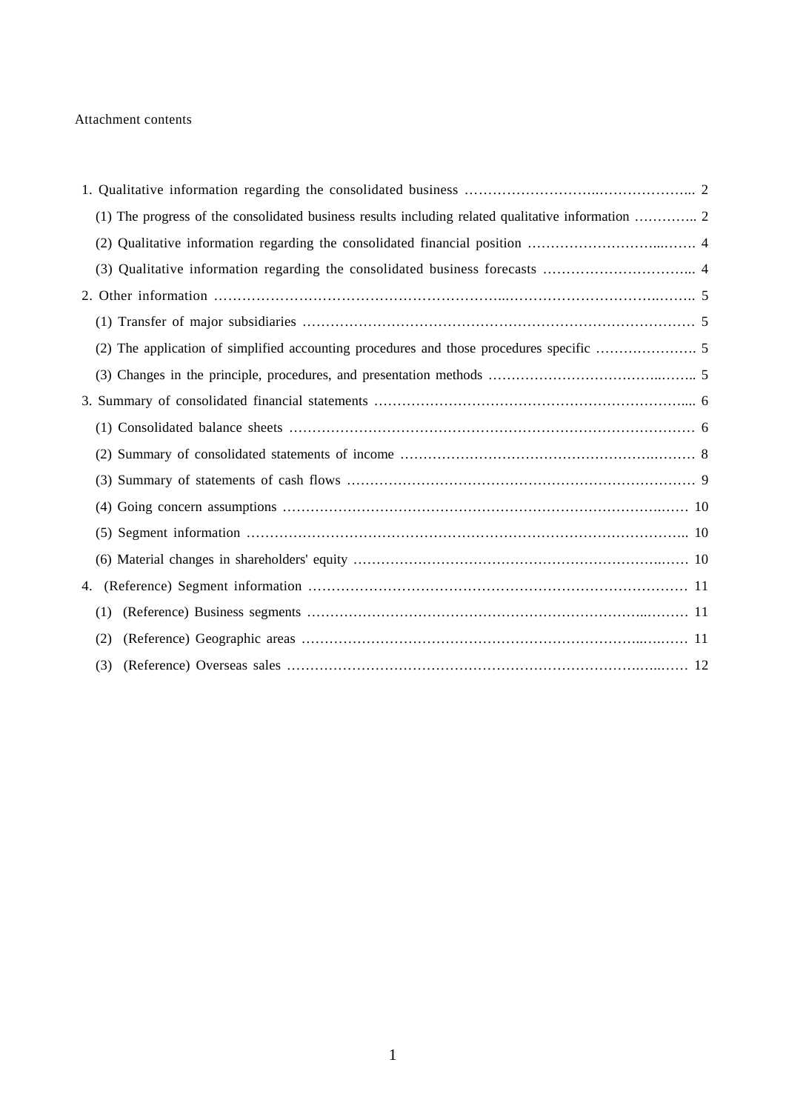### Attachment contents

| 4. |     |  |
|----|-----|--|
|    | (1) |  |
|    | (2) |  |
|    |     |  |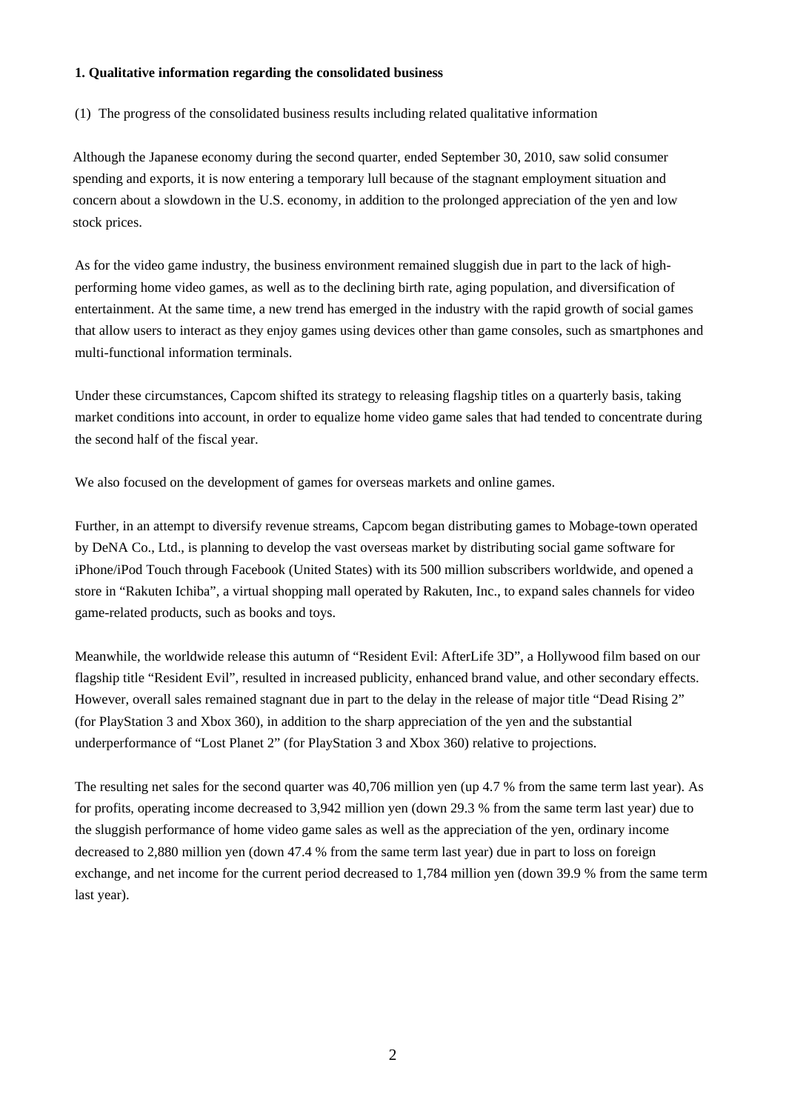### **1. Qualitative information regarding the consolidated business**

(1) The progress of the consolidated business results including related qualitative information

Although the Japanese economy during the second quarter, ended September 30, 2010, saw solid consumer spending and exports, it is now entering a temporary lull because of the stagnant employment situation and concern about a slowdown in the U.S. economy, in addition to the prolonged appreciation of the yen and low stock prices.

As for the video game industry, the business environment remained sluggish due in part to the lack of highperforming home video games, as well as to the declining birth rate, aging population, and diversification of entertainment. At the same time, a new trend has emerged in the industry with the rapid growth of social games that allow users to interact as they enjoy games using devices other than game consoles, such as smartphones and multi-functional information terminals.

Under these circumstances, Capcom shifted its strategy to releasing flagship titles on a quarterly basis, taking market conditions into account, in order to equalize home video game sales that had tended to concentrate during the second half of the fiscal year.

We also focused on the development of games for overseas markets and online games.

Further, in an attempt to diversify revenue streams, Capcom began distributing games to Mobage-town operated by DeNA Co., Ltd., is planning to develop the vast overseas market by distributing social game software for iPhone/iPod Touch through Facebook (United States) with its 500 million subscribers worldwide, and opened a store in "Rakuten Ichiba", a virtual shopping mall operated by Rakuten, Inc., to expand sales channels for video game-related products, such as books and toys.

Meanwhile, the worldwide release this autumn of "Resident Evil: AfterLife 3D", a Hollywood film based on our flagship title "Resident Evil", resulted in increased publicity, enhanced brand value, and other secondary effects. However, overall sales remained stagnant due in part to the delay in the release of major title "Dead Rising 2" (for PlayStation 3 and Xbox 360), in addition to the sharp appreciation of the yen and the substantial underperformance of "Lost Planet 2" (for PlayStation 3 and Xbox 360) relative to projections.

The resulting net sales for the second quarter was 40,706 million yen (up 4.7 % from the same term last year). As for profits, operating income decreased to 3,942 million yen (down 29.3 % from the same term last year) due to the sluggish performance of home video game sales as well as the appreciation of the yen, ordinary income decreased to 2,880 million yen (down 47.4 % from the same term last year) due in part to loss on foreign exchange, and net income for the current period decreased to 1,784 million yen (down 39.9 % from the same term last year).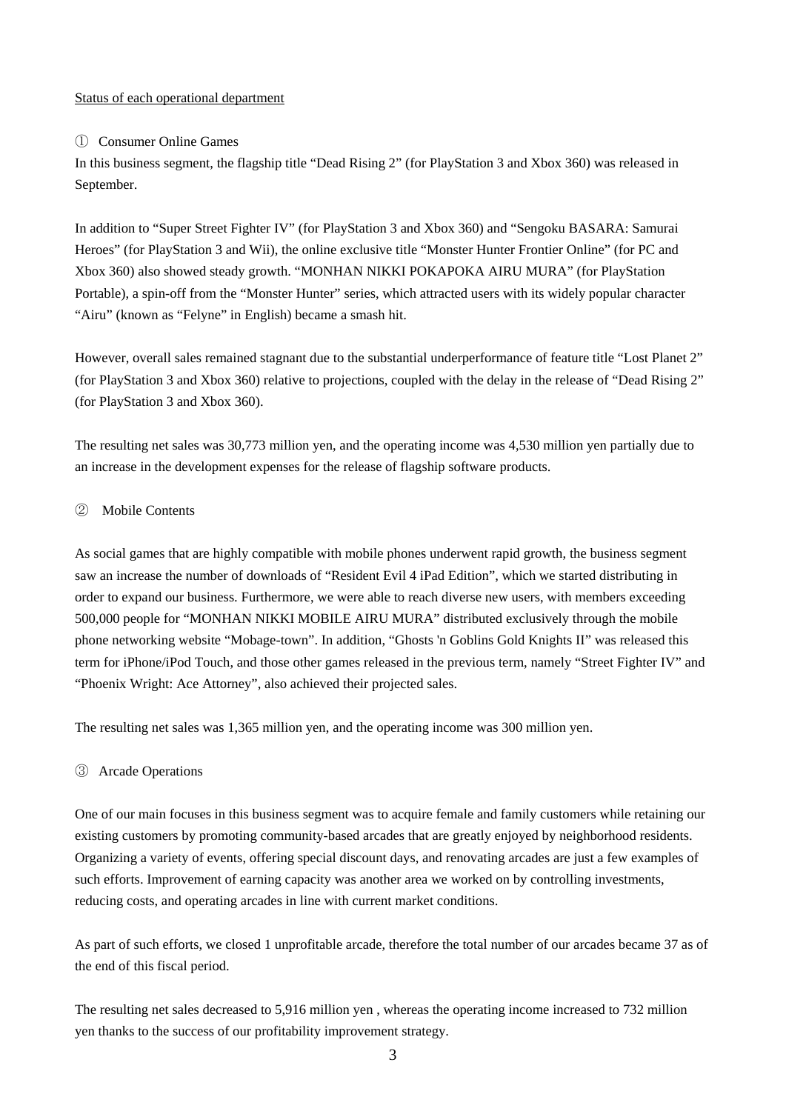### Status of each operational department

### ① Consumer Online Games

In this business segment, the flagship title "Dead Rising 2" (for PlayStation 3 and Xbox 360) was released in September.

In addition to "Super Street Fighter IV" (for PlayStation 3 and Xbox 360) and "Sengoku BASARA: Samurai Heroes" (for PlayStation 3 and Wii), the online exclusive title "Monster Hunter Frontier Online" (for PC and Xbox 360) also showed steady growth. "MONHAN NIKKI POKAPOKA AIRU MURA" (for PlayStation Portable), a spin-off from the "Monster Hunter" series, which attracted users with its widely popular character "Airu" (known as "Felyne" in English) became a smash hit.

However, overall sales remained stagnant due to the substantial underperformance of feature title "Lost Planet 2" (for PlayStation 3 and Xbox 360) relative to projections, coupled with the delay in the release of "Dead Rising 2" (for PlayStation 3 and Xbox 360).

The resulting net sales was 30,773 million yen, and the operating income was 4,530 million yen partially due to an increase in the development expenses for the release of flagship software products.

### ② Mobile Contents

As social games that are highly compatible with mobile phones underwent rapid growth, the business segment saw an increase the number of downloads of "Resident Evil 4 iPad Edition", which we started distributing in order to expand our business. Furthermore, we were able to reach diverse new users, with members exceeding 500,000 people for "MONHAN NIKKI MOBILE AIRU MURA" distributed exclusively through the mobile phone networking website "Mobage-town". In addition, "Ghosts 'n Goblins Gold Knights II" was released this term for iPhone/iPod Touch, and those other games released in the previous term, namely "Street Fighter IV" and "Phoenix Wright: Ace Attorney", also achieved their projected sales.

The resulting net sales was 1,365 million yen, and the operating income was 300 million yen.

## ③ Arcade Operations

One of our main focuses in this business segment was to acquire female and family customers while retaining our existing customers by promoting community-based arcades that are greatly enjoyed by neighborhood residents. Organizing a variety of events, offering special discount days, and renovating arcades are just a few examples of such efforts. Improvement of earning capacity was another area we worked on by controlling investments, reducing costs, and operating arcades in line with current market conditions.

As part of such efforts, we closed 1 unprofitable arcade, therefore the total number of our arcades became 37 as of the end of this fiscal period.

The resulting net sales decreased to 5,916 million yen , whereas the operating income increased to 732 million yen thanks to the success of our profitability improvement strategy.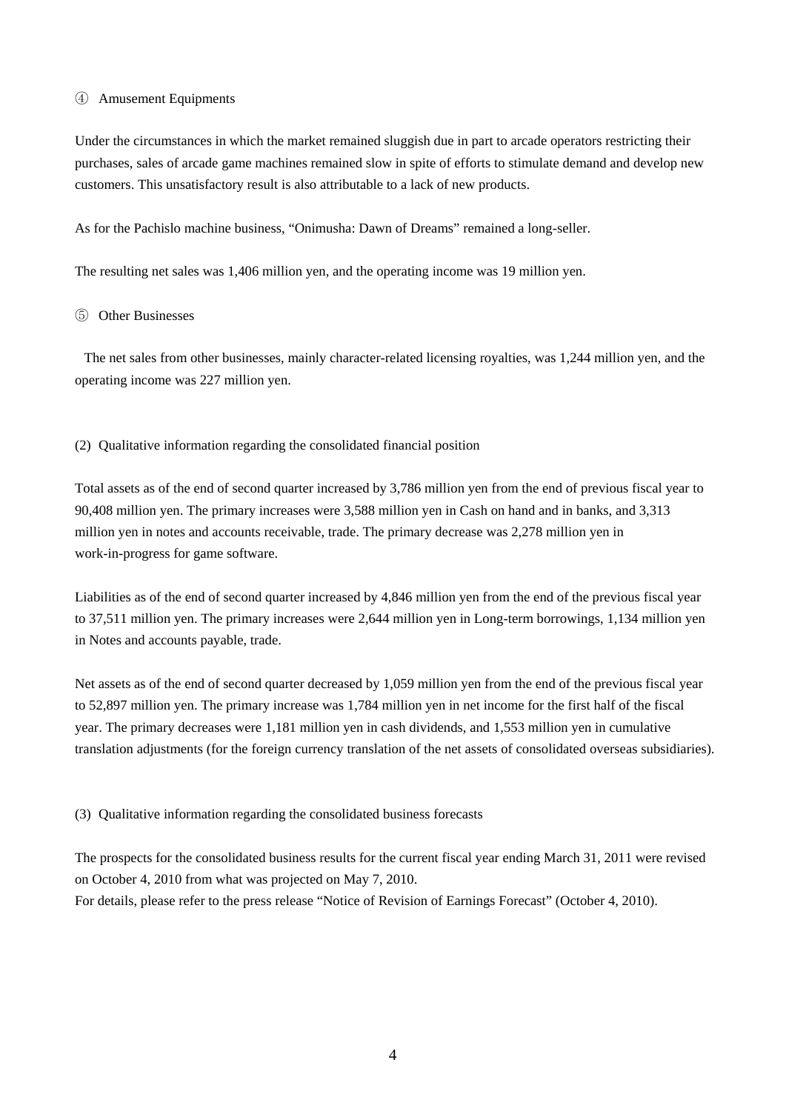### ④ Amusement Equipments

Under the circumstances in which the market remained sluggish due in part to arcade operators restricting their purchases, sales of arcade game machines remained slow in spite of efforts to stimulate demand and develop new customers. This unsatisfactory result is also attributable to a lack of new products.

As for the Pachislo machine business, "Onimusha: Dawn of Dreams" remained a long-seller.

The resulting net sales was 1,406 million yen, and the operating income was 19 million yen.

### ⑤ Other Businesses

The net sales from other businesses, mainly character-related licensing royalties, was 1,244 million yen, and the operating income was 227 million yen.

(2) Qualitative information regarding the consolidated financial position

Total assets as of the end of second quarter increased by 3,786 million yen from the end of previous fiscal year to 90,408 million yen. The primary increases were 3,588 million yen in Cash on hand and in banks, and 3,313 million yen in notes and accounts receivable, trade. The primary decrease was 2,278 million yen in work-in-progress for game software.

Liabilities as of the end of second quarter increased by 4,846 million yen from the end of the previous fiscal year to 37,511 million yen. The primary increases were 2,644 million yen in Long-term borrowings, 1,134 million yen in Notes and accounts payable, trade.

Net assets as of the end of second quarter decreased by 1,059 million yen from the end of the previous fiscal year to 52,897 million yen. The primary increase was 1,784 million yen in net income for the first half of the fiscal year. The primary decreases were 1,181 million yen in cash dividends, and 1,553 million yen in cumulative translation adjustments (for the foreign currency translation of the net assets of consolidated overseas subsidiaries).

(3) Qualitative information regarding the consolidated business forecasts

The prospects for the consolidated business results for the current fiscal year ending March 31, 2011 were revised on October 4, 2010 from what was projected on May 7, 2010. For details, please refer to the press release "Notice of Revision of Earnings Forecast" (October 4, 2010).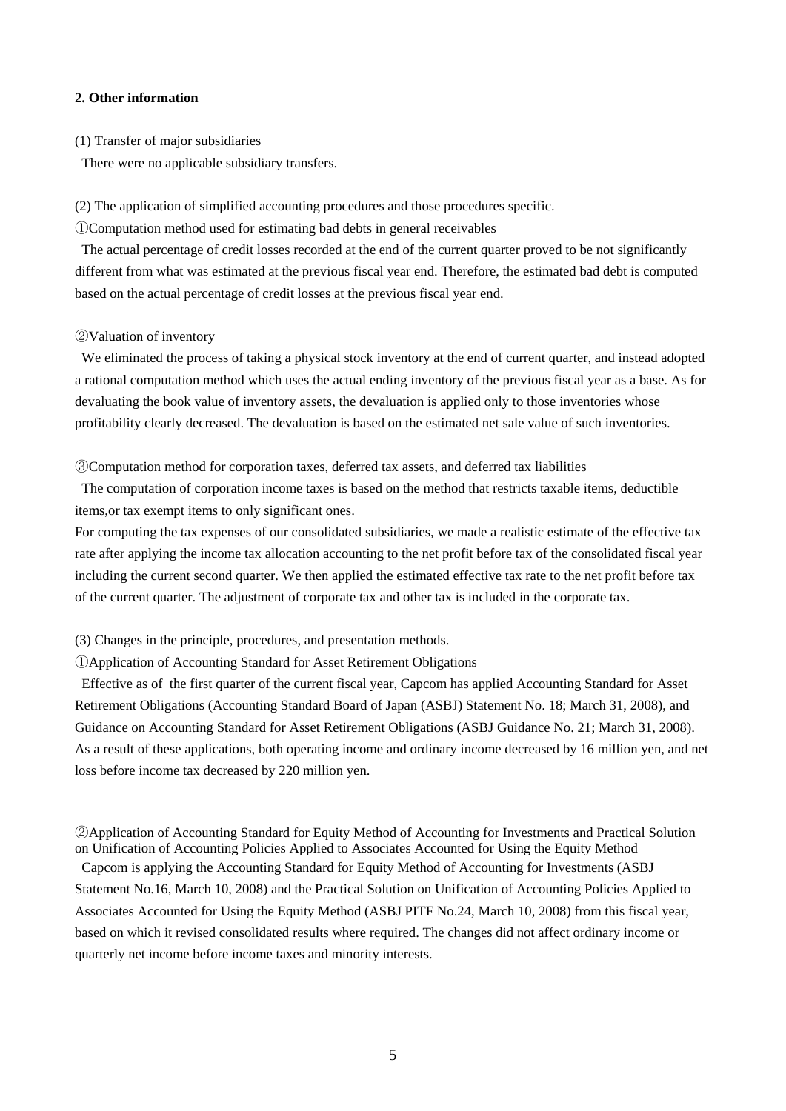### **2. Other information**

(1) Transfer of major subsidiaries

There were no applicable subsidiary transfers.

(2) The application of simplified accounting procedures and those procedures specific.

①Computation method used for estimating bad debts in general receivables

The actual percentage of credit losses recorded at the end of the current quarter proved to be not significantly different from what was estimated at the previous fiscal year end. Therefore, the estimated bad debt is computed based on the actual percentage of credit losses at the previous fiscal year end.

### ②Valuation of inventory

We eliminated the process of taking a physical stock inventory at the end of current quarter, and instead adopted a rational computation method which uses the actual ending inventory of the previous fiscal year as a base. As for devaluating the book value of inventory assets, the devaluation is applied only to those inventories whose profitability clearly decreased. The devaluation is based on the estimated net sale value of such inventories.

③Computation method for corporation taxes, deferred tax assets, and deferred tax liabilities

The computation of corporation income taxes is based on the method that restricts taxable items, deductible items,or tax exempt items to only significant ones.

For computing the tax expenses of our consolidated subsidiaries, we made a realistic estimate of the effective tax rate after applying the income tax allocation accounting to the net profit before tax of the consolidated fiscal year including the current second quarter. We then applied the estimated effective tax rate to the net profit before tax of the current quarter. The adjustment of corporate tax and other tax is included in the corporate tax.

(3) Changes in the principle, procedures, and presentation methods.

①Application of Accounting Standard for Asset Retirement Obligations

Effective as of the first quarter of the current fiscal year, Capcom has applied Accounting Standard for Asset Retirement Obligations (Accounting Standard Board of Japan (ASBJ) Statement No. 18; March 31, 2008), and Guidance on Accounting Standard for Asset Retirement Obligations (ASBJ Guidance No. 21; March 31, 2008). As a result of these applications, both operating income and ordinary income decreased by 16 million yen, and net loss before income tax decreased by 220 million yen.

②Application of Accounting Standard for Equity Method of Accounting for Investments and Practical Solution on Unification of Accounting Policies Applied to Associates Accounted for Using the Equity Method

Capcom is applying the Accounting Standard for Equity Method of Accounting for Investments (ASBJ Statement No.16, March 10, 2008) and the Practical Solution on Unification of Accounting Policies Applied to Associates Accounted for Using the Equity Method (ASBJ PITF No.24, March 10, 2008) from this fiscal year, based on which it revised consolidated results where required. The changes did not affect ordinary income or quarterly net income before income taxes and minority interests.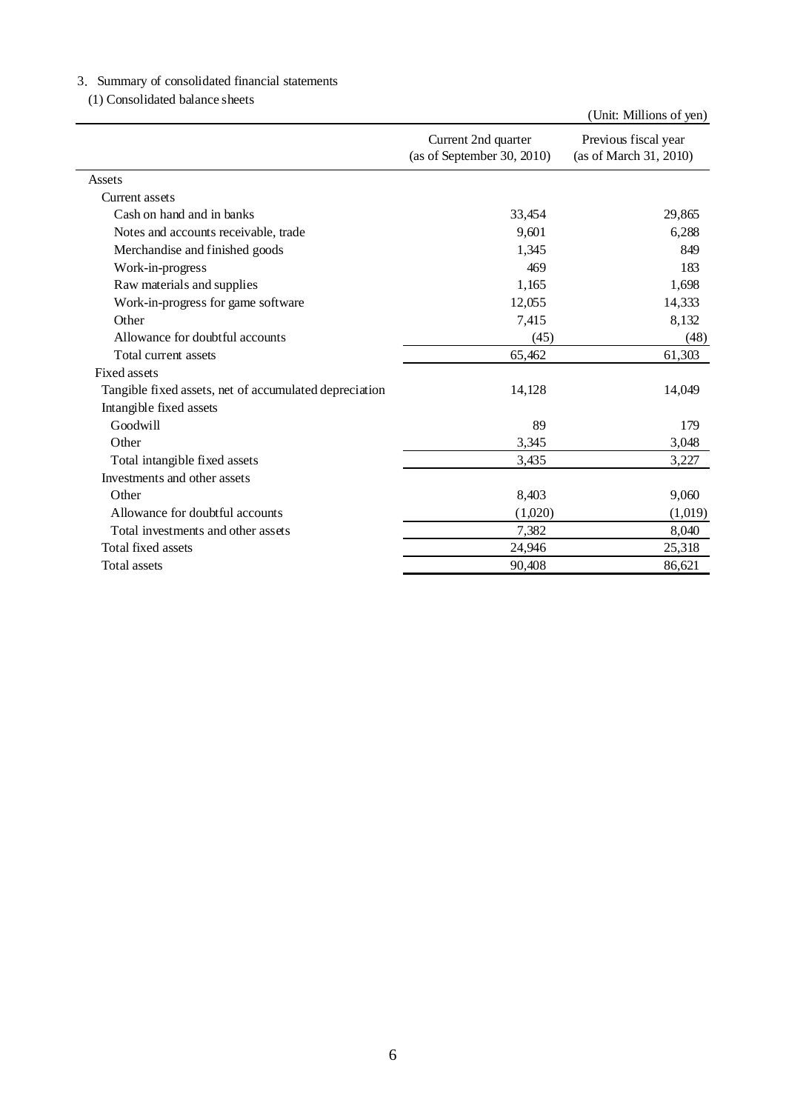# 3.Summary of consolidated financial statements

(1) Consolidated balance sheets

|                                                        |                                                   | (Unit: Millions of yen)                        |
|--------------------------------------------------------|---------------------------------------------------|------------------------------------------------|
|                                                        | Current 2nd quarter<br>(as of September 30, 2010) | Previous fiscal year<br>(as of March 31, 2010) |
| Assets                                                 |                                                   |                                                |
| Current assets                                         |                                                   |                                                |
| Cash on hand and in banks                              | 33,454                                            | 29,865                                         |
| Notes and accounts receivable, trade                   | 9.601                                             | 6,288                                          |
| Merchandise and finished goods                         | 1,345                                             | 849                                            |
| Work-in-progress                                       | 469                                               | 183                                            |
| Raw materials and supplies                             | 1,165                                             | 1,698                                          |
| Work-in-progress for game software                     | 12,055                                            | 14,333                                         |
| Other                                                  | 7,415                                             | 8,132                                          |
| Allowance for doubtful accounts                        | (45)                                              | (48)                                           |
| Total current assets                                   | 65,462                                            | 61,303                                         |
| Fixed assets                                           |                                                   |                                                |
| Tangible fixed assets, net of accumulated depreciation | 14,128                                            | 14,049                                         |
| Intangible fixed assets                                |                                                   |                                                |
| Goodwill                                               | 89                                                | 179                                            |
| Other                                                  | 3,345                                             | 3,048                                          |
| Total intangible fixed assets                          | 3,435                                             | 3,227                                          |
| Investments and other assets                           |                                                   |                                                |
| Other                                                  | 8,403                                             | 9,060                                          |
| Allowance for doubtful accounts                        | (1,020)                                           | (1,019)                                        |
| Total investments and other assets                     | 7,382                                             | 8,040                                          |
| Total fixed assets                                     | 24,946                                            | 25,318                                         |
| Total assets                                           | 90,408                                            | 86,621                                         |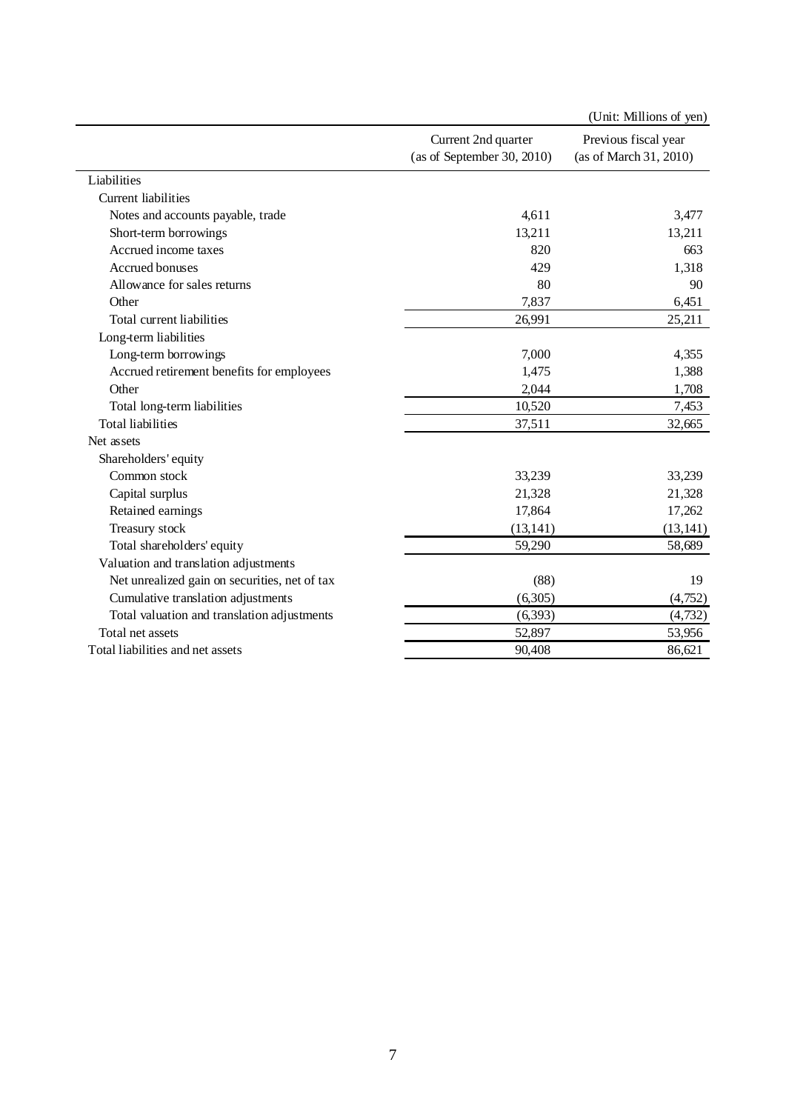|                                               |                                                   | (Unit: Millions of yen)                        |
|-----------------------------------------------|---------------------------------------------------|------------------------------------------------|
|                                               | Current 2nd quarter<br>(as of September 30, 2010) | Previous fiscal year<br>(as of March 31, 2010) |
| Liabilities                                   |                                                   |                                                |
| Current liabilities                           |                                                   |                                                |
| Notes and accounts payable, trade             | 4,611                                             | 3,477                                          |
| Short-term borrowings                         | 13,211                                            | 13,211                                         |
| Accrued income taxes                          | 820                                               | 663                                            |
| Accrued bonuses                               | 429                                               | 1,318                                          |
| Allowance for sales returns                   | 80                                                | 90                                             |
| Other                                         | 7,837                                             | 6,451                                          |
| Total current liabilities                     | 26,991                                            | 25,211                                         |
| Long-term liabilities                         |                                                   |                                                |
| Long-term borrowings                          | 7,000                                             | 4,355                                          |
| Accrued retirement benefits for employees     | 1,475                                             | 1,388                                          |
| Other                                         | 2,044                                             | 1,708                                          |
| Total long-term liabilities                   | 10,520                                            | 7,453                                          |
| <b>Total liabilities</b>                      | 37,511                                            | 32,665                                         |
| Net assets                                    |                                                   |                                                |
| Shareholders' equity                          |                                                   |                                                |
| Common stock                                  | 33,239                                            | 33,239                                         |
| Capital surplus                               | 21,328                                            | 21,328                                         |
| Retained earnings                             | 17,864                                            | 17,262                                         |
| Treasury stock                                | (13, 141)                                         | (13, 141)                                      |
| Total shareholders' equity                    | 59,290                                            | 58,689                                         |
| Valuation and translation adjustments         |                                                   |                                                |
| Net unrealized gain on securities, net of tax | (88)                                              | 19                                             |
| Cumulative translation adjustments            | (6,305)                                           | (4,752)                                        |
| Total valuation and translation adjustments   | (6,393)                                           | (4, 732)                                       |
| Total net assets                              | 52,897                                            | 53,956                                         |
| Total liabilities and net assets              | 90,408                                            | 86,621                                         |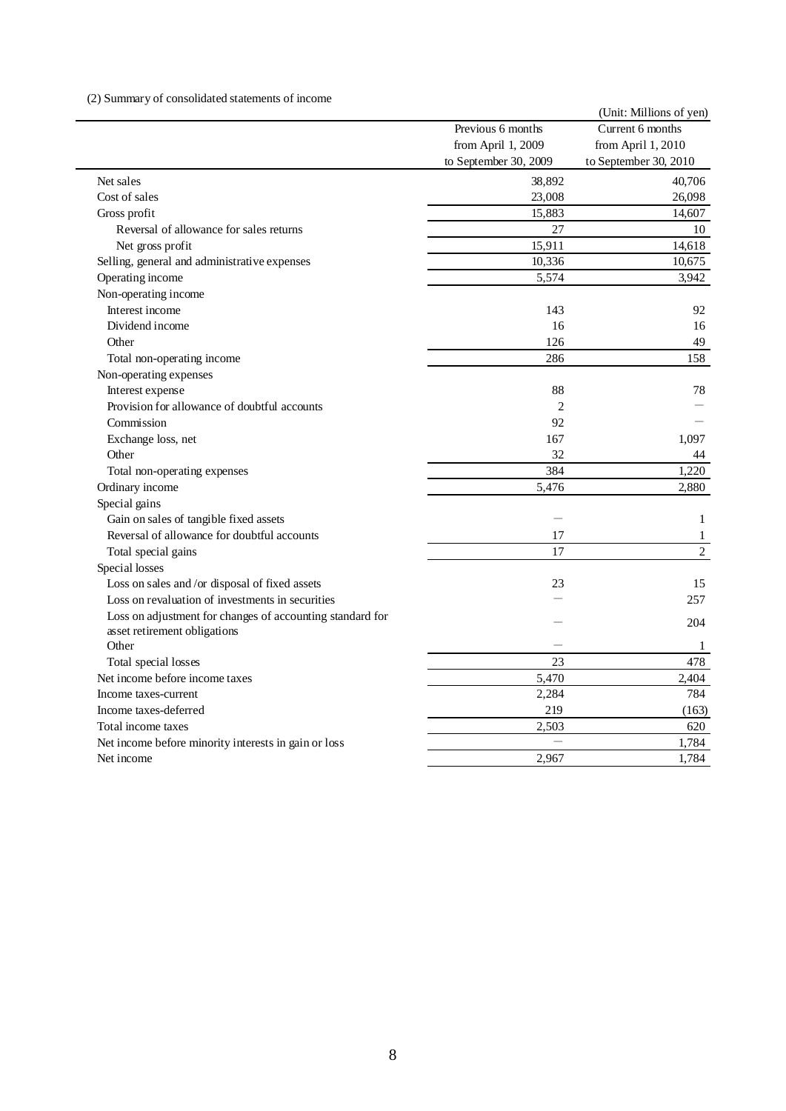### (2) Summary of consolidated statements of income

|                                                           |                       | (Unit: Millions of yen) |
|-----------------------------------------------------------|-----------------------|-------------------------|
|                                                           | Previous 6 months     | Current 6 months        |
|                                                           | from April 1, 2009    | from April 1, 2010      |
|                                                           | to September 30, 2009 | to September 30, 2010   |
| Net sales                                                 | 38,892                | 40,706                  |
| Cost of sales                                             | 23,008                | 26,098                  |
| Gross profit                                              | 15,883                | 14,607                  |
| Reversal of allowance for sales returns                   | 27                    | 10                      |
| Net gross profit                                          | 15,911                | 14,618                  |
| Selling, general and administrative expenses              | 10,336                | 10,675                  |
| Operating income                                          | 5,574                 | 3,942                   |
| Non-operating income                                      |                       |                         |
| Interest income                                           | 143                   | 92                      |
| Dividend income                                           | 16                    | 16                      |
| Other                                                     | 126                   | 49                      |
| Total non-operating income                                | 286                   | 158                     |
| Non-operating expenses                                    |                       |                         |
| Interest expense                                          | 88                    | 78                      |
| Provision for allowance of doubtful accounts              | $\overline{2}$        |                         |
| Commission                                                | 92                    |                         |
| Exchange loss, net                                        | 167                   | 1,097                   |
| Other                                                     | 32                    | 44                      |
| Total non-operating expenses                              | 384                   | 1,220                   |
| Ordinary income                                           | 5,476                 | 2,880                   |
| Special gains                                             |                       |                         |
| Gain on sales of tangible fixed assets                    |                       | 1                       |
| Reversal of allowance for doubtful accounts               | 17                    | $\mathbf{1}$            |
| Total special gains                                       | 17                    | $\overline{2}$          |
| Special losses                                            |                       |                         |
| Loss on sales and /or disposal of fixed assets            | 23                    | 15                      |
| Loss on revaluation of investments in securities          |                       | 257                     |
| Loss on adjustment for changes of accounting standard for |                       |                         |
| asset retirement obligations                              |                       | 204                     |
| Other                                                     |                       | 1                       |
| Total special losses                                      | 23                    | 478                     |
| Net income before income taxes                            | 5,470                 | 2,404                   |
| Income taxes-current                                      | 2,284                 | 784                     |
| Income taxes-deferred                                     | 219                   | (163)                   |
| Total income taxes                                        | 2,503                 | 620                     |
| Net income before minority interests in gain or loss      |                       | 1,784                   |
| Net income                                                | 2,967                 | 1,784                   |
|                                                           |                       |                         |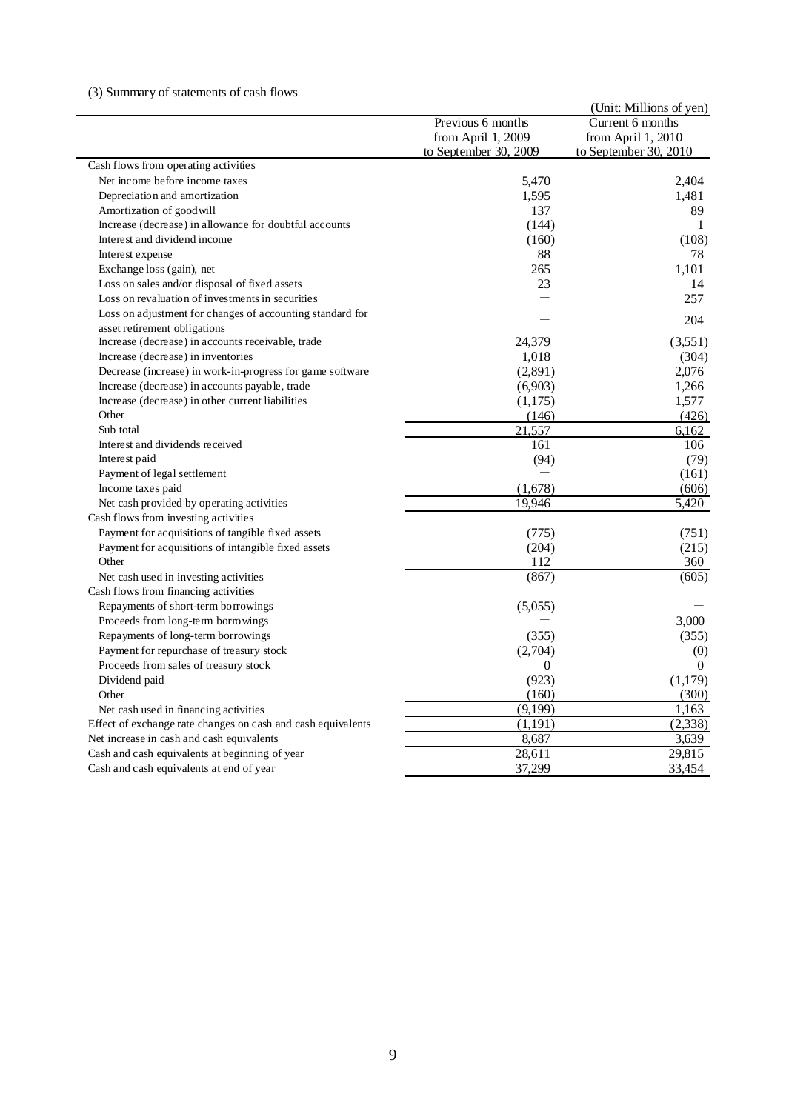# (3) Summary of statements of cash flows

|                                                              |                       | (Unit: Millions of yen) |
|--------------------------------------------------------------|-----------------------|-------------------------|
|                                                              | Previous 6 months     | Current 6 months        |
|                                                              | from April 1, 2009    | from April 1, 2010      |
|                                                              | to September 30, 2009 | to September 30, 2010   |
| Cash flows from operating activities                         |                       |                         |
| Net income before income taxes                               | 5,470                 | 2,404                   |
| Depreciation and amortization                                | 1,595                 | 1,481                   |
| Amortization of goodwill                                     | 137                   | 89                      |
| Increase (decrease) in allowance for doubtful accounts       | (144)                 | 1                       |
| Interest and dividend income                                 | (160)                 | (108)                   |
| Interest expense                                             | 88                    | 78                      |
| Exchange loss (gain), net                                    | 265                   | 1,101                   |
| Loss on sales and/or disposal of fixed assets                | 23                    | 14                      |
| Loss on revaluation of investments in securities             |                       | 257                     |
| Loss on adjustment for changes of accounting standard for    |                       | 204                     |
| asset retirement obligations                                 |                       |                         |
| Increase (decrease) in accounts receivable, trade            | 24,379                | (3,551)                 |
| Increase (decrease) in inventories                           | 1,018                 | (304)                   |
| Decrease (increase) in work-in-progress for game software    | (2,891)               | 2,076                   |
| Increase (decrease) in accounts payable, trade               | (6,903)               | 1,266                   |
| Increase (decrease) in other current liabilities             | (1,175)               | 1,577                   |
| Other                                                        | (146)                 | (426)                   |
| Sub total                                                    | 21,557                | 6,162                   |
| Interest and dividends received                              | 161                   | 106                     |
| Interest paid                                                | (94)                  | (79)                    |
| Payment of legal settlement                                  |                       | (161)                   |
| Income taxes paid                                            | (1,678)               | (606)                   |
| Net cash provided by operating activities                    | 19,946                | 5,420                   |
| Cash flows from investing activities                         |                       |                         |
| Payment for acquisitions of tangible fixed assets            | (775)                 | (751)                   |
| Payment for acquisitions of intangible fixed assets          | (204)                 | (215)                   |
| Other                                                        | 112                   | 360                     |
| Net cash used in investing activities                        | (867)                 | (605)                   |
| Cash flows from financing activities                         |                       |                         |
| Repayments of short-term borrowings                          | (5,055)               |                         |
| Proceeds from long-term borrowings                           |                       | 3,000                   |
| Repayments of long-term borrowings                           | (355)                 | (355)                   |
| Payment for repurchase of treasury stock                     | (2,704)               | (0)                     |
| Proceeds from sales of treasury stock                        | $\Omega$              | $\theta$                |
| Dividend paid                                                | (923)                 | (1,179)                 |
| Other                                                        | (160)                 | (300)                   |
| Net cash used in financing activities                        | (9,199)               | 1,163                   |
| Effect of exchange rate changes on cash and cash equivalents | (1, 191)              | (2,338)                 |
| Net increase in cash and cash equivalents                    | 8,687                 | 3,639                   |
| Cash and cash equivalents at beginning of year               | 28,611                | 29,815                  |
| Cash and cash equivalents at end of year                     | 37,299                | 33,454                  |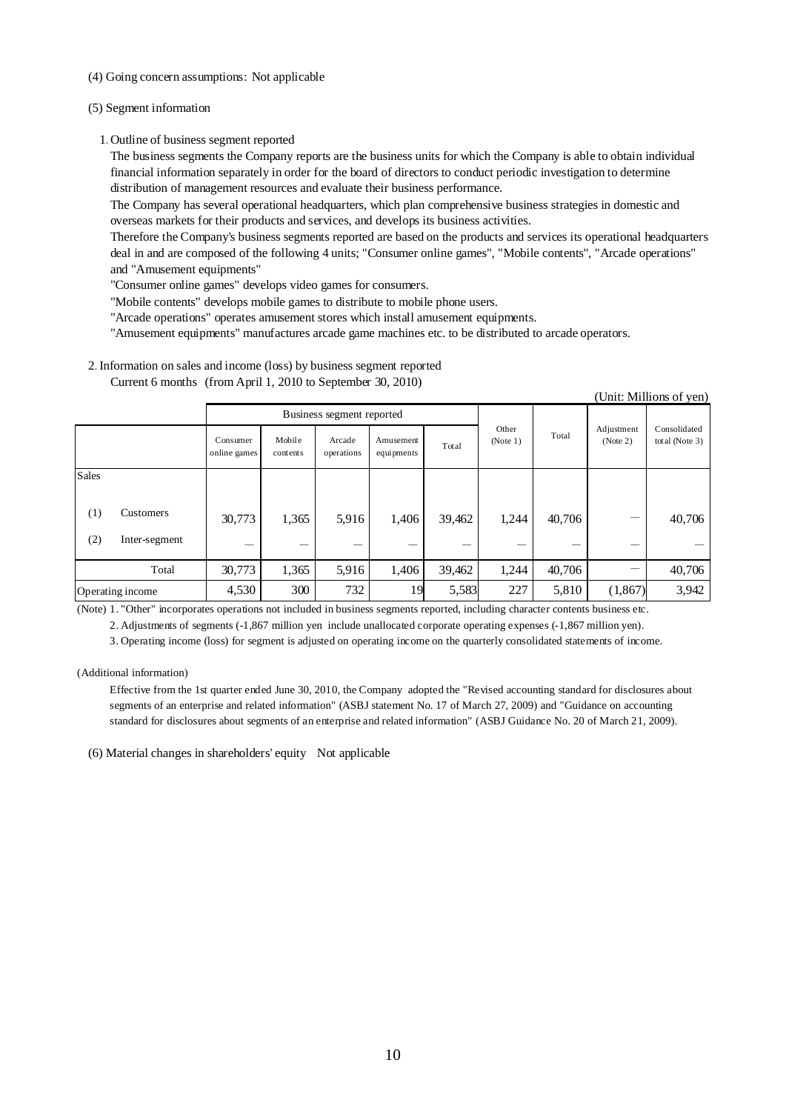- (4) Going concern assumptions: Not applicable
- (5) Segment information
	- 1.Outline of business segment reported

The business segments the Company reports are the business units for which the Company is able to obtain individual financial information separately in order for the board of directors to conduct periodic investigation to determine distribution of management resources and evaluate their business performance.

The Company has several operational headquarters, which plan comprehensive business strategies in domestic and overseas markets for their products and services, and develops its business activities.

Therefore the Company's business segments reported are based on the products and services its operational headquarters deal in and are composed of the following 4 units; "Consumer online games", "Mobile contents", "Arcade operations" and "Amusement equipments"

(Unit: Millions of yen)

"Consumer online games" develops video games for consumers.

"Mobile contents" develops mobile games to distribute to mobile phone users.

"Arcade operations" operates amusement stores which install amusement equipments.

"Amusement equipments" manufactures arcade game machines etc. to be distributed to arcade operators.

2.Information on sales and income (loss) by business segment reported Current 6 months (from April 1, 2010 to September 30, 2010)

|       |                  |                          |                           |                      |                         |        |                   |        |         | (UML PHIMOR) OF YOU |  |  |       |  |                        |                                   |
|-------|------------------|--------------------------|---------------------------|----------------------|-------------------------|--------|-------------------|--------|---------|---------------------|--|--|-------|--|------------------------|-----------------------------------|
|       |                  |                          | Business segment reported |                      |                         |        |                   |        |         |                     |  |  |       |  |                        |                                   |
|       |                  | Consumer<br>online games | Mobile<br>contents        | Arcade<br>operations | Amusement<br>equipments | Total  | Other<br>(Note 1) |        |         |                     |  |  | Total |  | Adjustment<br>(Note 2) | Consolidated<br>total (Note $3$ ) |
| Sales |                  |                          |                           |                      |                         |        |                   |        |         |                     |  |  |       |  |                        |                                   |
| (1)   | Customers        | 30,773                   | 1,365                     | 5,916                | 1,406                   | 39,462 | 1,244             | 40,706 | –       | 40,706              |  |  |       |  |                        |                                   |
| (2)   | Inter-segment    |                          |                           |                      |                         |        |                   |        | --      |                     |  |  |       |  |                        |                                   |
|       | Total            | 30,773                   | 1,365                     | 5,916                | 1,406                   | 39,462 | 1,244             | 40,706 |         | 40,706              |  |  |       |  |                        |                                   |
|       | Operating income | 4,530                    | 300                       | 732                  | 19                      | 5,583  | 227               | 5,810  | (1,867) | 3,942               |  |  |       |  |                        |                                   |

(Note) 1. "Other" incorporates operations not included in business segments reported, including character contents business etc.

2. Adjustments of segments (-1,867 million yen include unallocated corporate operating expenses (-1,867 million yen).

3. Operating income (loss) for segment is adjusted on operating income on the quarterly consolidated statements of income.

(Additional information)

Effective from the 1st quarter ended June 30, 2010, the Company adopted the "Revised accounting standard for disclosures about segments of an enterprise and related information" (ASBJ statement No. 17 of March 27, 2009) and "Guidance on accounting standard for disclosures about segments of an enterprise and related information" (ASBJ Guidance No. 20 of March 21, 2009).

(6) Material changes in shareholders' equity Not applicable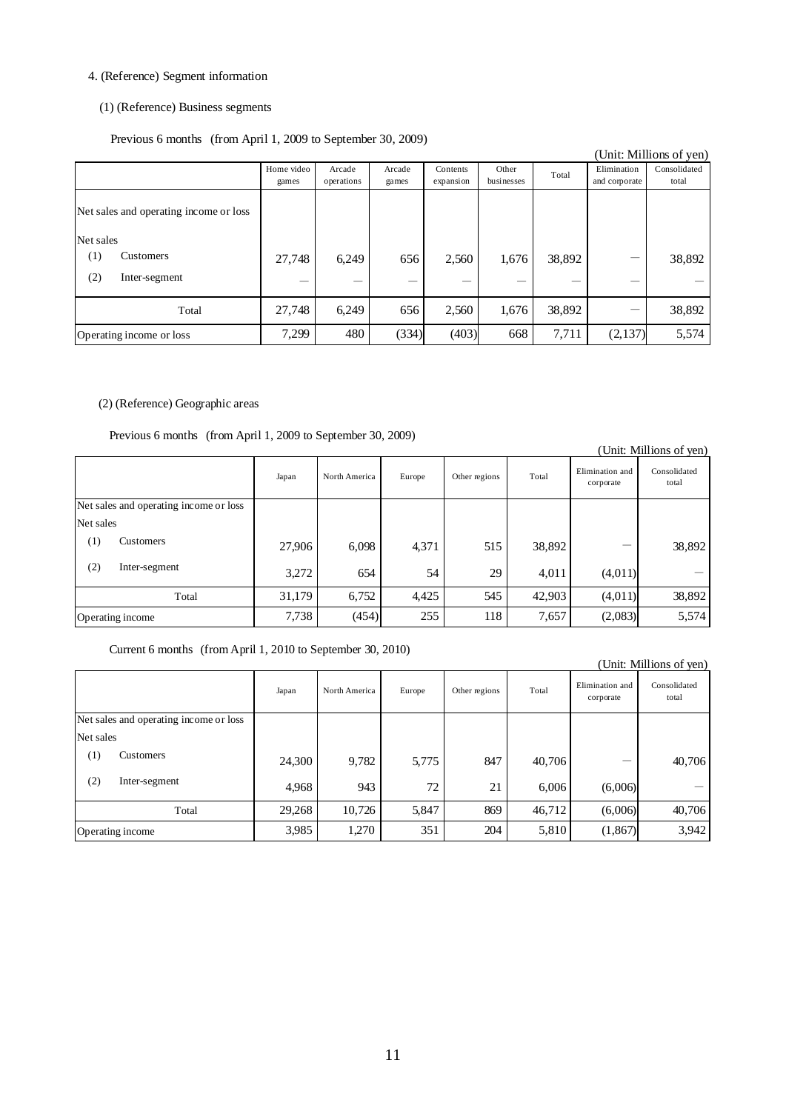# 4. (Reference) Segment information

### (1) (Reference) Business segments

Previous 6 months (from April 1, 2009 to September 30, 2009)

|                                                                         | $(1.011111)$ $1.400000$ to $0.40001$ $0.00000$ |                      |                 |                       |                     |        |                              | (Unit: Millions of yen) |
|-------------------------------------------------------------------------|------------------------------------------------|----------------------|-----------------|-----------------------|---------------------|--------|------------------------------|-------------------------|
|                                                                         | Home video<br>games                            | Arcade<br>operations | Arcade<br>games | Contents<br>expansion | Other<br>businesses | Total  | Elimination<br>and corporate | Consolidated<br>total   |
| Net sales and operating income or loss<br>Net sales<br>Customers<br>(1) | 27,748                                         | 6,249                | 656             | 2,560                 | 1,676               | 38,892 |                              | 38,892                  |
| (2)<br>Inter-segment                                                    |                                                |                      |                 |                       |                     |        |                              |                         |
| Total                                                                   | 27,748                                         | 6,249                | 656             | 2,560                 | 1,676               | 38,892 |                              | 38,892                  |
| Operating income or loss                                                | 7,299                                          | 480                  | (334)           | (403)                 | 668                 | 7,711  | (2,137)                      | 5,574                   |

### (2) (Reference) Geographic areas

Previous 6 months (from April 1, 2009 to September 30, 2009)

|                                        |        |               |        |               |        |                              | (Unit: Millions of yen) |
|----------------------------------------|--------|---------------|--------|---------------|--------|------------------------------|-------------------------|
|                                        | Japan  | North America | Europe | Other regions | Total  | Elimination and<br>corporate | Consolidated<br>total   |
| Net sales and operating income or loss |        |               |        |               |        |                              |                         |
| Net sales                              |        |               |        |               |        |                              |                         |
| $\left(1\right)$<br>Customers          | 27,906 | 6,098         | 4,371  | 515           | 38,892 |                              | 38,892                  |
| (2)<br>Inter-segment                   | 3,272  | 654           | 54     | 29            | 4,011  | (4,011)                      |                         |
| Total                                  | 31,179 | 6,752         | 4,425  | 545           | 42,903 | (4,011)                      | 38,892                  |
| Operating income                       | 7,738  | (454)         | 255    | 118           | 7,657  | (2,083)                      | 5,574                   |

### Current 6 months (from April 1, 2010 to September 30, 2010)

| UIIII. IVIIIIIOIIS OI YEII <i>I</i>                       |        |               |        |               |        |                              |                       |  |
|-----------------------------------------------------------|--------|---------------|--------|---------------|--------|------------------------------|-----------------------|--|
|                                                           | Japan  | North America | Europe | Other regions | Total  | Elimination and<br>corporate | Consolidated<br>total |  |
| Net sales and operating income or loss                    |        |               |        |               |        |                              |                       |  |
| Net sales                                                 |        |               |        |               |        |                              |                       |  |
| $\scriptstyle{(1)}$<br><b>Customers</b>                   | 24,300 | 9,782         | 5,775  | 847           | 40,706 |                              | 40,706                |  |
| (2)<br>Inter-segment                                      | 4,968  | 943           | 72     | 21            | 6,006  | (6,006)                      |                       |  |
| Total                                                     | 29,268 | 10,726        | 5,847  | 869           | 46,712 | (6,006)                      | 40,706                |  |
| 3,985<br>1,270<br>351<br>204<br>5,810<br>Operating income |        | (1,867)       | 3,942  |               |        |                              |                       |  |

#### (Unit: Millions of yen)